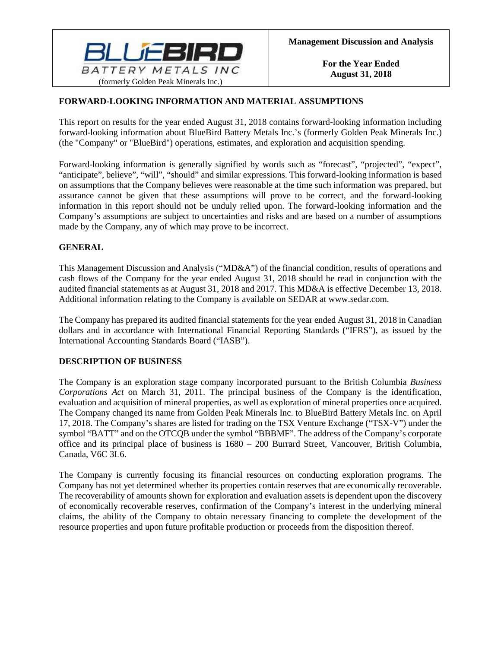

# **FORWARD-LOOKING INFORMATION AND MATERIAL ASSUMPTIONS**

This report on results for the year ended August 31, 2018 contains forward-looking information including forward-looking information about BlueBird Battery Metals Inc.'s (formerly Golden Peak Minerals Inc.) (the "Company" or "BlueBird") operations, estimates, and exploration and acquisition spending.

Forward-looking information is generally signified by words such as "forecast", "projected", "expect", "anticipate", believe", "will", "should" and similar expressions. This forward-looking information is based on assumptions that the Company believes were reasonable at the time such information was prepared, but assurance cannot be given that these assumptions will prove to be correct, and the forward-looking information in this report should not be unduly relied upon. The forward-looking information and the Company's assumptions are subject to uncertainties and risks and are based on a number of assumptions made by the Company, any of which may prove to be incorrect.

### **GENERAL**

This Management Discussion and Analysis ("MD&A") of the financial condition, results of operations and cash flows of the Company for the year ended August 31, 2018 should be read in conjunction with the audited financial statements as at August 31, 2018 and 2017. This MD&A is effective December 13, 2018. Additional information relating to the Company is available on SEDAR at www.sedar.com.

The Company has prepared its audited financial statements for the year ended August 31, 2018 in Canadian dollars and in accordance with International Financial Reporting Standards ("IFRS"), as issued by the International Accounting Standards Board ("IASB").

### **DESCRIPTION OF BUSINESS**

The Company is an exploration stage company incorporated pursuant to the British Columbia *Business Corporations Act* on March 31, 2011. The principal business of the Company is the identification, evaluation and acquisition of mineral properties, as well as exploration of mineral properties once acquired. The Company changed its name from Golden Peak Minerals Inc. to BlueBird Battery Metals Inc. on April 17, 2018. The Company's shares are listed for trading on the TSX Venture Exchange ("TSX-V") under the symbol "BATT" and on the OTCQB under the symbol "BBBMF". The address of the Company's corporate office and its principal place of business is 1680 – 200 Burrard Street, Vancouver, British Columbia, Canada, V6C 3L6.

The Company is currently focusing its financial resources on conducting exploration programs. The Company has not yet determined whether its properties contain reserves that are economically recoverable. The recoverability of amounts shown for exploration and evaluation assets is dependent upon the discovery of economically recoverable reserves, confirmation of the Company's interest in the underlying mineral claims, the ability of the Company to obtain necessary financing to complete the development of the resource properties and upon future profitable production or proceeds from the disposition thereof.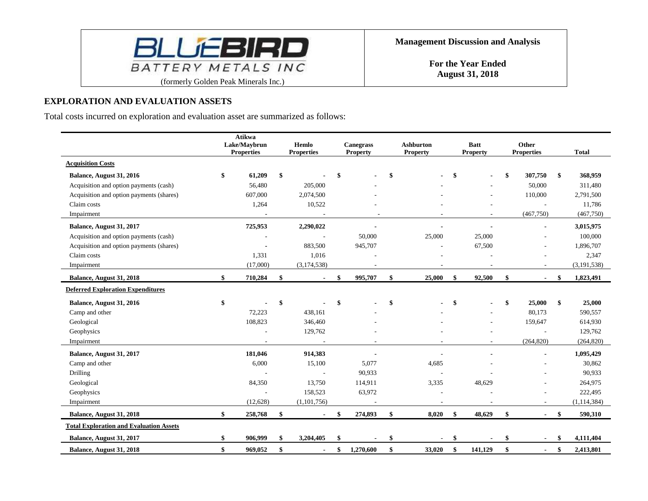

# **EXPLORATION AND EVALUATION ASSETS**

Total costs incurred on exploration and evaluation asset are summarized as follows:

|                                                | Atikwa<br>Lake/Maybrun<br><b>Properties</b> | Hemlo<br><b>Properties</b> | <b>Canegrass</b><br><b>Property</b> | <b>Ashburton</b><br><b>Property</b> | <b>Batt</b><br><b>Property</b> | Other<br><b>Properties</b> | <b>Total</b>    |
|------------------------------------------------|---------------------------------------------|----------------------------|-------------------------------------|-------------------------------------|--------------------------------|----------------------------|-----------------|
| <b>Acquisition Costs</b>                       |                                             |                            |                                     |                                     |                                |                            |                 |
| Balance, August 31, 2016                       | \$<br>61,209                                | \$                         |                                     | \$                                  | \$                             | \$<br>307,750              | \$<br>368,959   |
| Acquisition and option payments (cash)         | 56,480                                      | 205,000                    |                                     |                                     |                                | 50,000                     | 311,480         |
| Acquisition and option payments (shares)       | 607,000                                     | 2,074,500                  |                                     |                                     |                                | 110,000                    | 2,791,500       |
| Claim costs                                    | 1,264                                       | 10,522                     |                                     |                                     |                                |                            | 11,786          |
| Impairment                                     |                                             |                            |                                     |                                     |                                | (467,750)                  | (467,750)       |
| Balance, August 31, 2017                       | 725,953                                     | 2,290,022                  |                                     |                                     |                                |                            | 3,015,975       |
| Acquisition and option payments (cash)         |                                             |                            | 50,000                              | 25,000                              | 25,000                         |                            | 100,000         |
| Acquisition and option payments (shares)       |                                             | 883,500                    | 945,707                             |                                     | 67,500                         |                            | 1,896,707       |
| Claim costs                                    | 1,331                                       | 1,016                      |                                     |                                     |                                |                            | 2,347           |
| Impairment                                     | (17,000)                                    | (3, 174, 538)              |                                     |                                     |                                |                            | (3, 191, 538)   |
| Balance, August 31, 2018                       | \$<br>710,284                               | \$                         | \$<br>995,707                       | \$<br>25,000                        | \$<br>92,500                   | \$                         | \$<br>1,823,491 |
| <b>Deferred Exploration Expenditures</b>       |                                             |                            |                                     |                                     |                                |                            |                 |
| Balance, August 31, 2016                       | \$                                          | \$                         | \$                                  | \$                                  | \$                             | \$<br>25,000               | \$<br>25,000    |
| Camp and other                                 | 72,223                                      | 438.161                    |                                     |                                     |                                | 80.173                     | 590,557         |
| Geological                                     | 108,823                                     | 346,460                    |                                     |                                     |                                | 159,647                    | 614,930         |
| Geophysics                                     |                                             | 129,762                    |                                     |                                     |                                |                            | 129,762         |
| Impairment                                     |                                             | $\sim$                     |                                     |                                     |                                | (264, 820)                 | (264, 820)      |
| Balance, August 31, 2017                       | 181,046                                     | 914,383                    |                                     |                                     |                                |                            | 1,095,429       |
| Camp and other                                 | 6,000                                       | 15,100                     | 5,077                               | 4,685                               |                                |                            | 30,862          |
| Drilling                                       |                                             | $\overline{a}$             | 90,933                              |                                     |                                |                            | 90,933          |
| Geological                                     | 84,350                                      | 13,750                     | 114,911                             | 3,335                               | 48,629                         |                            | 264,975         |
| Geophysics                                     |                                             | 158,523                    | 63,972                              |                                     |                                |                            | 222,495         |
| Impairment                                     | (12,628)                                    | (1, 101, 756)              |                                     |                                     |                                |                            | (1, 114, 384)   |
| Balance, August 31, 2018                       | \$<br>258,768                               | \$                         | 274,893                             | \$<br>8,020                         | \$<br>48,629                   | \$<br>$\blacksquare$       | \$<br>590,310   |
| <b>Total Exploration and Evaluation Assets</b> |                                             |                            |                                     |                                     |                                |                            |                 |
| Balance, August 31, 2017                       | \$<br>906,999                               | \$<br>3,204,405            |                                     | \$                                  | \$                             |                            | \$<br>4,111,404 |
| Balance, August 31, 2018                       | \$<br>969,052                               | \$<br>$\blacksquare$       | \$<br>1,270,600                     | \$<br>33,020                        | \$<br>141,129                  | \$<br>$\blacksquare$       | \$<br>2,413,801 |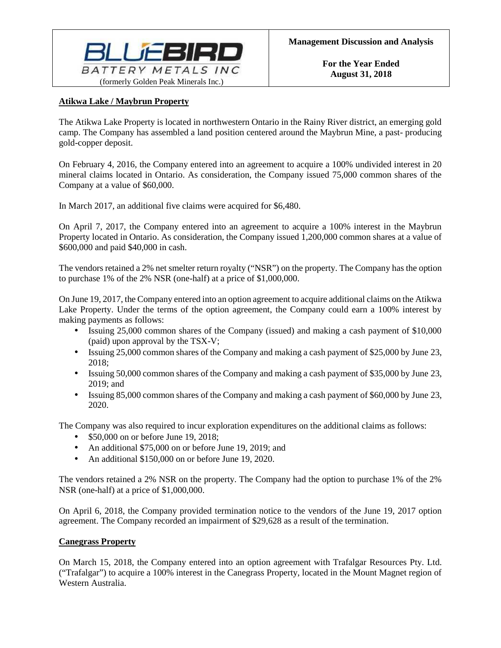

# **Atikwa Lake / Maybrun Property**

The Atikwa Lake Property is located in northwestern Ontario in the Rainy River district, an emerging gold camp. The Company has assembled a land position centered around the Maybrun Mine, a past- producing gold-copper deposit.

On February 4, 2016, the Company entered into an agreement to acquire a 100% undivided interest in 20 mineral claims located in Ontario. As consideration, the Company issued 75,000 common shares of the Company at a value of \$60,000.

In March 2017, an additional five claims were acquired for \$6,480.

On April 7, 2017, the Company entered into an agreement to acquire a 100% interest in the Maybrun Property located in Ontario. As consideration, the Company issued 1,200,000 common shares at a value of \$600,000 and paid \$40,000 in cash.

The vendors retained a 2% net smelter return royalty ("NSR") on the property. The Company has the option to purchase 1% of the 2% NSR (one-half) at a price of \$1,000,000.

On June 19, 2017, the Company entered into an option agreement to acquire additional claims on the Atikwa Lake Property. Under the terms of the option agreement, the Company could earn a 100% interest by making payments as follows:

- Issuing 25,000 common shares of the Company (issued) and making a cash payment of \$10,000 (paid) upon approval by the TSX-V;
- Issuing 25,000 common shares of the Company and making a cash payment of \$25,000 by June 23, 2018;
- Issuing 50,000 common shares of the Company and making a cash payment of \$35,000 by June 23, 2019; and
- Issuing 85,000 common shares of the Company and making a cash payment of \$60,000 by June 23, 2020.

The Company was also required to incur exploration expenditures on the additional claims as follows:

- \$50,000 on or before June 19, 2018;
- An additional \$75,000 on or before June 19, 2019; and
- An additional \$150,000 on or before June 19, 2020.

The vendors retained a 2% NSR on the property. The Company had the option to purchase 1% of the 2% NSR (one-half) at a price of \$1,000,000.

On April 6, 2018, the Company provided termination notice to the vendors of the June 19, 2017 option agreement. The Company recorded an impairment of \$29,628 as a result of the termination.

### **Canegrass Property**

On March 15, 2018, the Company entered into an option agreement with Trafalgar Resources Pty. Ltd. ("Trafalgar") to acquire a 100% interest in the Canegrass Property, located in the Mount Magnet region of Western Australia.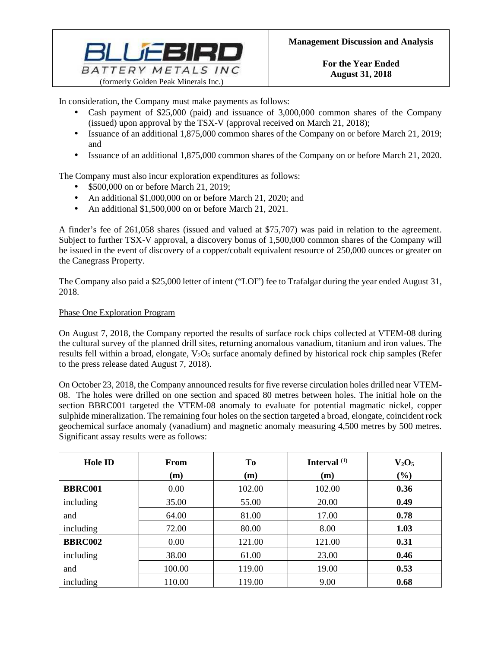

In consideration, the Company must make payments as follows:

- Cash payment of \$25,000 (paid) and issuance of 3,000,000 common shares of the Company (issued) upon approval by the TSX-V (approval received on March 21, 2018);
- Issuance of an additional 1,875,000 common shares of the Company on or before March 21, 2019; and
- Issuance of an additional 1,875,000 common shares of the Company on or before March 21, 2020.

The Company must also incur exploration expenditures as follows:

- \$500,000 on or before March 21, 2019;
- An additional \$1,000,000 on or before March 21, 2020; and
- An additional \$1,500,000 on or before March 21, 2021.

A finder's fee of 261,058 shares (issued and valued at \$75,707) was paid in relation to the agreement. Subject to further TSX-V approval, a discovery bonus of 1,500,000 common shares of the Company will be issued in the event of discovery of a copper/cobalt equivalent resource of 250,000 ounces or greater on the Canegrass Property.

The Company also paid a \$25,000 letter of intent ("LOI") fee to Trafalgar during the year ended August 31, 2018.

# Phase One Exploration Program

On August 7, 2018, the Company reported the results of surface rock chips collected at VTEM-08 during the cultural survey of the planned drill sites, returning anomalous vanadium, titanium and iron values. The results fell within a broad, elongate,  $V_2O_5$  surface anomaly defined by historical rock chip samples (Refer to the press release dated August 7, 2018).

On October 23, 2018, the Company announced results for five reverse circulation holes drilled near VTEM-08. The holes were drilled on one section and spaced 80 metres between holes. The initial hole on the section BBRC001 targeted the VTEM-08 anomaly to evaluate for potential magmatic nickel, copper sulphide mineralization. The remaining four holes on the section targeted a broad, elongate, coincident rock geochemical surface anomaly (vanadium) and magnetic anomaly measuring 4,500 metres by 500 metres. Significant assay results were as follows:

| <b>Hole ID</b> | From   | To     | Interval <sup>(1)</sup> | $V_2O_5$ |
|----------------|--------|--------|-------------------------|----------|
|                | (m)    | (m)    | (m)                     | $(\%)$   |
| <b>BBRC001</b> | 0.00   | 102.00 | 102.00                  | 0.36     |
| including      | 35.00  | 55.00  | 20.00                   | 0.49     |
| and            | 64.00  | 81.00  | 17.00                   | 0.78     |
| including      | 72.00  | 80.00  | 8.00                    | 1.03     |
| <b>BBRC002</b> | 0.00   | 121.00 | 121.00                  | 0.31     |
| including      | 38.00  | 61.00  | 23.00                   | 0.46     |
| and            | 100.00 | 119.00 | 19.00                   | 0.53     |
| including      | 110.00 | 119.00 | 9.00                    | 0.68     |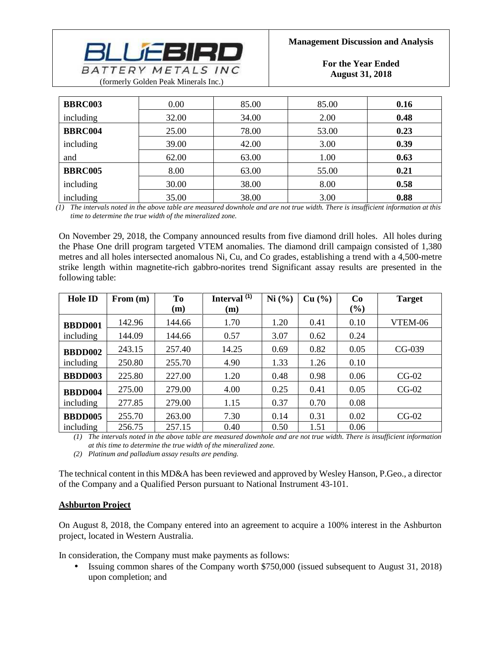

**For the Year Ended August 31, 2018**

| <b>BBRC003</b> | 0.00  | 85.00 | 85.00 | 0.16 |
|----------------|-------|-------|-------|------|
| including      | 32.00 | 34.00 | 2.00  | 0.48 |
| <b>BBRC004</b> | 25.00 | 78.00 | 53.00 | 0.23 |
| including      | 39.00 | 42.00 | 3.00  | 0.39 |
| and            | 62.00 | 63.00 | 1.00  | 0.63 |
| <b>BBRC005</b> | 8.00  | 63.00 | 55.00 | 0.21 |
| including      | 30.00 | 38.00 | 8.00  | 0.58 |
| including      | 35.00 | 38.00 | 3.00  | 0.88 |

*(1) The intervals noted in the above table are measured downhole and are not true width. There is insufficient information at this time to determine the true width of the mineralized zone.*

On November 29, 2018, the Company announced results from five diamond drill holes. All holes during the Phase One drill program targeted VTEM anomalies. The diamond drill campaign consisted of 1,380 metres and all holes intersected anomalous Ni, Cu, and Co grades, establishing a trend with a 4,500-metre strike length within magnetite-rich gabbro-norites trend Significant assay results are presented in the following table:

| <b>Hole ID</b> | From (m) | <b>To</b> | Interval <sup>(1)</sup> | Ni (%) | Cu (%) | Co   | <b>Target</b> |
|----------------|----------|-----------|-------------------------|--------|--------|------|---------------|
|                |          | (m)       | (m)                     |        |        | (%)  |               |
| <b>BBDD001</b> | 142.96   | 144.66    | 1.70                    | 1.20   | 0.41   | 0.10 | VTEM-06       |
| including      | 144.09   | 144.66    | 0.57                    | 3.07   | 0.62   | 0.24 |               |
| <b>BBDD002</b> | 243.15   | 257.40    | 14.25                   | 0.69   | 0.82   | 0.05 | $CG-039$      |
| including      | 250.80   | 255.70    | 4.90                    | 1.33   | 1.26   | 0.10 |               |
| <b>BBDD003</b> | 225.80   | 227.00    | 1.20                    | 0.48   | 0.98   | 0.06 | $CG-02$       |
| <b>BBDD004</b> | 275.00   | 279.00    | 4.00                    | 0.25   | 0.41   | 0.05 | $CG-02$       |
| including      | 277.85   | 279.00    | 1.15                    | 0.37   | 0.70   | 0.08 |               |
| <b>BBDD005</b> | 255.70   | 263.00    | 7.30                    | 0.14   | 0.31   | 0.02 | $CG-02$       |
| including      | 256.75   | 257.15    | 0.40                    | 0.50   | 1.51   | 0.06 |               |

*(1) The intervals noted in the above table are measured downhole and are not true width. There is insufficient information at this time to determine the true width of the mineralized zone.*

*(2) Platinum and palladium assay results are pending.*

The technical content in this MD&A has been reviewed and approved by Wesley Hanson, P.Geo., a director of the Company and a Qualified Person pursuant to National Instrument 43-101.

### **Ashburton Project**

On August 8, 2018, the Company entered into an agreement to acquire a 100% interest in the Ashburton project, located in Western Australia.

In consideration, the Company must make payments as follows:

• Issuing common shares of the Company worth \$750,000 (issued subsequent to August 31, 2018) upon completion; and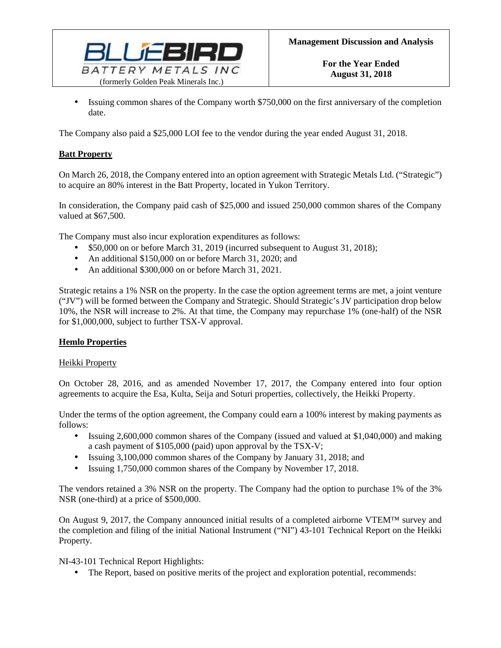

• Issuing common shares of the Company worth \$750,000 on the first anniversary of the completion date.

The Company also paid a \$25,000 LOI fee to the vendor during the year ended August 31, 2018.

### **Batt Property**

On March 26, 2018, the Company entered into an option agreement with Strategic Metals Ltd. ("Strategic") to acquire an 80% interest in the Batt Property, located in Yukon Territory.

In consideration, the Company paid cash of \$25,000 and issued 250,000 common shares of the Company valued at \$67,500.

The Company must also incur exploration expenditures as follows:

- \$50,000 on or before March 31, 2019 (incurred subsequent to August 31, 2018);
- An additional \$150,000 on or before March 31, 2020; and
- An additional \$300,000 on or before March 31, 2021.

Strategic retains a 1% NSR on the property. In the case the option agreement terms are met, a joint venture ("JV") will be formed between the Company and Strategic. Should Strategic's JV participation drop below 10%, the NSR will increase to 2%. At that time, the Company may repurchase 1% (one-half) of the NSR for \$1,000,000, subject to further TSX-V approval.

### **Hemlo Properties**

### Heikki Property

On October 28, 2016, and as amended November 17, 2017, the Company entered into four option agreements to acquire the Esa, Kulta, Seija and Soturi properties, collectively, the Heikki Property.

Under the terms of the option agreement, the Company could earn a 100% interest by making payments as follows:

- Issuing 2,600,000 common shares of the Company (issued and valued at \$1,040,000) and making a cash payment of \$105,000 (paid) upon approval by the TSX-V;
- Issuing 3,100,000 common shares of the Company by January 31, 2018; and
- Issuing 1,750,000 common shares of the Company by November 17, 2018.

The vendors retained a 3% NSR on the property. The Company had the option to purchase 1% of the 3% NSR (one-third) at a price of \$500,000.

On August 9, 2017, the Company announced initial results of a completed airborne VTEM™ survey and the completion and filing of the initial National Instrument ("NI") 43-101 Technical Report on the Heikki Property.

NI-43-101 Technical Report Highlights:

• The Report, based on positive merits of the project and exploration potential, recommends: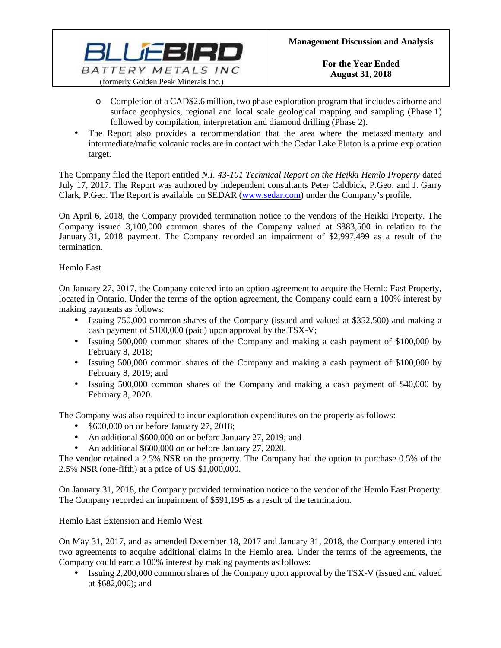

- o Completion of a CAD\$2.6 million, two phase exploration program that includes airborne and surface geophysics, regional and local scale geological mapping and sampling (Phase 1) followed by compilation, interpretation and diamond drilling (Phase 2).
- The Report also provides a recommendation that the area where the metasedimentary and intermediate/mafic volcanic rocks are in contact with the Cedar Lake Pluton is a prime exploration target.

The Company filed the Report entitled *N.I. 43-101 Technical Report on the Heikki Hemlo Property* dated July 17, 2017. The Report was authored by independent consultants Peter Caldbick, P.Geo. and J. Garry Clark, P.Geo. The Report is available on SEDAR [\(www.sedar.com\)](http://www.sedar.com/) under the Company's profile.

On April 6, 2018, the Company provided termination notice to the vendors of the Heikki Property. The Company issued 3,100,000 common shares of the Company valued at \$883,500 in relation to the January 31, 2018 payment. The Company recorded an impairment of \$2,997,499 as a result of the termination.

# Hemlo East

On January 27, 2017, the Company entered into an option agreement to acquire the Hemlo East Property, located in Ontario. Under the terms of the option agreement, the Company could earn a 100% interest by making payments as follows:

- Issuing 750,000 common shares of the Company (issued and valued at \$352,500) and making a cash payment of \$100,000 (paid) upon approval by the TSX-V;
- Issuing 500,000 common shares of the Company and making a cash payment of \$100,000 by February 8, 2018;
- Issuing 500,000 common shares of the Company and making a cash payment of \$100,000 by February 8, 2019; and
- Issuing 500,000 common shares of the Company and making a cash payment of \$40,000 by February 8, 2020.

The Company was also required to incur exploration expenditures on the property as follows:

- \$600,000 on or before January 27, 2018;
- An additional \$600,000 on or before January 27, 2019; and
- An additional \$600,000 on or before January 27, 2020.

The vendor retained a 2.5% NSR on the property. The Company had the option to purchase 0.5% of the 2.5% NSR (one-fifth) at a price of US \$1,000,000.

On January 31, 2018, the Company provided termination notice to the vendor of the Hemlo East Property. The Company recorded an impairment of \$591,195 as a result of the termination.

# Hemlo East Extension and Hemlo West

On May 31, 2017, and as amended December 18, 2017 and January 31, 2018, the Company entered into two agreements to acquire additional claims in the Hemlo area. Under the terms of the agreements, the Company could earn a 100% interest by making payments as follows:

• Issuing 2,200,000 common shares of the Company upon approval by the TSX-V (issued and valued at \$682,000); and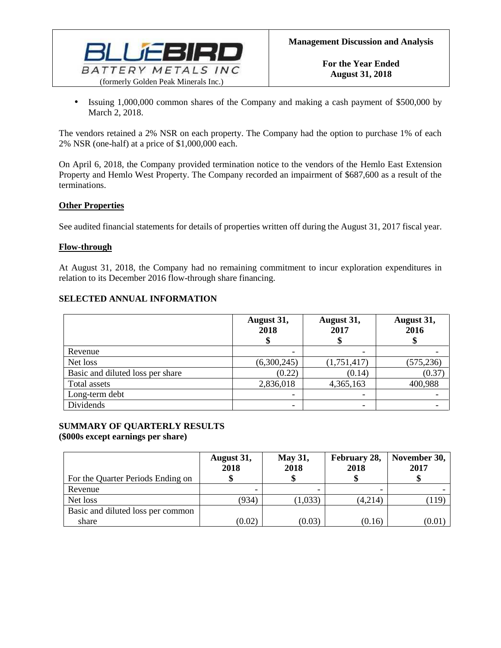

• Issuing 1,000,000 common shares of the Company and making a cash payment of \$500,000 by March 2, 2018.

The vendors retained a 2% NSR on each property. The Company had the option to purchase 1% of each 2% NSR (one-half) at a price of \$1,000,000 each.

On April 6, 2018, the Company provided termination notice to the vendors of the Hemlo East Extension Property and Hemlo West Property. The Company recorded an impairment of \$687,600 as a result of the terminations.

### **Other Properties**

See audited financial statements for details of properties written off during the August 31, 2017 fiscal year.

### **Flow-through**

At August 31, 2018, the Company had no remaining commitment to incur exploration expenditures in relation to its December 2016 flow-through share financing.

### **SELECTED ANNUAL INFORMATION**

|                                  | August 31,<br>2018 | August 31,<br>2017 | August 31,<br>2016 |
|----------------------------------|--------------------|--------------------|--------------------|
| Revenue                          |                    |                    |                    |
| Net loss                         | (6,300,245)        | (1,751,417)        | (575, 236)         |
| Basic and diluted loss per share | (0.22)             | (0.14)             | (0.37)             |
| Total assets                     | 2,836,018          | 4,365,163          | 400,988            |
| Long-term debt                   |                    |                    |                    |
| Dividends                        |                    |                    |                    |

#### **SUMMARY OF QUARTERLY RESULTS (\$000s except earnings per share)**

| For the Quarter Periods Ending on | August 31,<br>2018 | <b>May 31,</b><br>2018 | February 28,<br>2018 | November 30,<br>2017 |
|-----------------------------------|--------------------|------------------------|----------------------|----------------------|
| Revenue                           |                    |                        |                      |                      |
| Net loss                          | (934)              | (1,033)                | (4,214)              | .119                 |
| Basic and diluted loss per common |                    |                        |                      |                      |
| share                             | (0.02)             | (0.03)                 | (0.16)               | (0.01)               |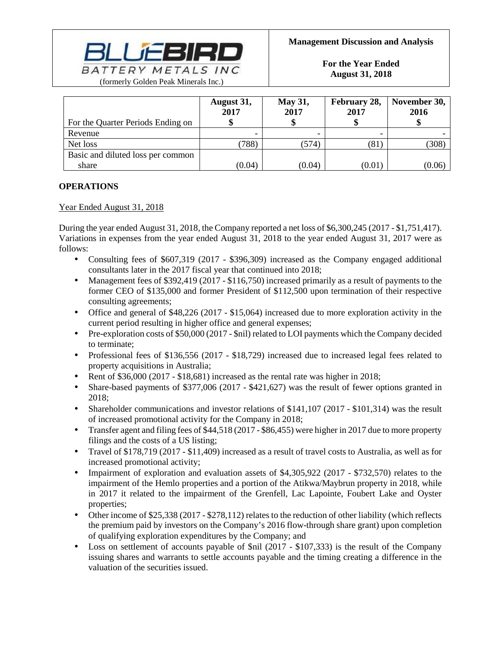

| For the Quarter Periods Ending on | August 31,<br>2017 | <b>May 31,</b><br>2017 | February 28,<br>2017 | November 30,<br>2016 |
|-----------------------------------|--------------------|------------------------|----------------------|----------------------|
| Revenue                           |                    |                        |                      |                      |
| Net loss                          | (788)              | (574)                  | $\left(81\right)$    | (308)                |
| Basic and diluted loss per common |                    |                        |                      |                      |
| share                             | (0.04)             | (0.04)                 | (0.01)               | (0.06)               |

# **OPERATIONS**

# Year Ended August 31, 2018

During the year ended August 31, 2018, the Company reported a net loss of \$6,300,245 (2017 - \$1,751,417). Variations in expenses from the year ended August 31, 2018 to the year ended August 31, 2017 were as follows:

- Consulting fees of \$607,319 (2017 \$396,309) increased as the Company engaged additional consultants later in the 2017 fiscal year that continued into 2018;
- Management fees of \$392,419 (2017 \$116,750) increased primarily as a result of payments to the former CEO of \$135,000 and former President of \$112,500 upon termination of their respective consulting agreements;
- Office and general of \$48,226 (2017 \$15,064) increased due to more exploration activity in the current period resulting in higher office and general expenses;
- Pre-exploration costs of \$50,000 (2017 \$nil) related to LOI payments which the Company decided to terminate;
- Professional fees of \$136,556 (2017 \$18,729) increased due to increased legal fees related to property acquisitions in Australia;
- Rent of \$36,000 (2017 \$18,681) increased as the rental rate was higher in 2018;
- Share-based payments of \$377,006 (2017 \$421,627) was the result of fewer options granted in 2018;
- Shareholder communications and investor relations of \$141,107 (2017 \$101,314) was the result of increased promotional activity for the Company in 2018;
- Transfer agent and filing fees of \$44,518 (2017 \$86,455) were higher in 2017 due to more property filings and the costs of a US listing;
- Travel of \$178,719 (2017 \$11,409) increased as a result of travel costs to Australia, as well as for increased promotional activity;
- Impairment of exploration and evaluation assets of \$4,305,922 (2017 \$732,570) relates to the impairment of the Hemlo properties and a portion of the Atikwa/Maybrun property in 2018, while in 2017 it related to the impairment of the Grenfell, Lac Lapointe, Foubert Lake and Oyster properties;
- Other income of \$25,338 (2017 \$278,112) relates to the reduction of other liability (which reflects the premium paid by investors on the Company's 2016 flow-through share grant) upon completion of qualifying exploration expenditures by the Company; and
- Loss on settlement of accounts payable of  $\sin$  (2017 \$107,333) is the result of the Company issuing shares and warrants to settle accounts payable and the timing creating a difference in the valuation of the securities issued.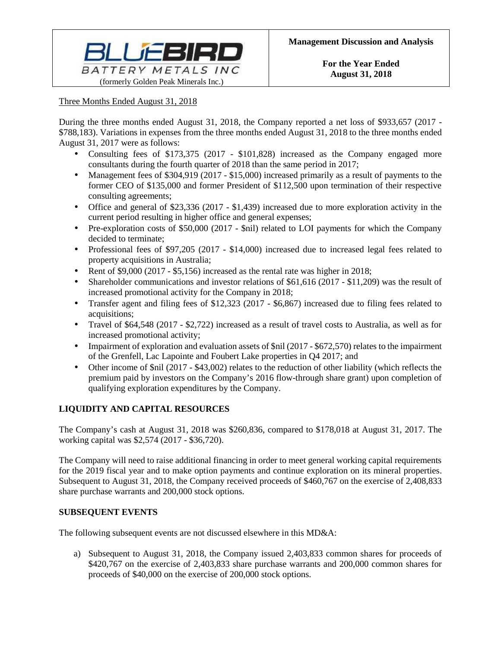

### Three Months Ended August 31, 2018

During the three months ended August 31, 2018, the Company reported a net loss of \$933,657 (2017 - \$788,183). Variations in expenses from the three months ended August 31, 2018 to the three months ended August 31, 2017 were as follows:

- Consulting fees of \$173,375 (2017 \$101,828) increased as the Company engaged more consultants during the fourth quarter of 2018 than the same period in 2017;
- Management fees of \$304,919 (2017 \$15,000) increased primarily as a result of payments to the former CEO of \$135,000 and former President of \$112,500 upon termination of their respective consulting agreements;
- Office and general of \$23,336 (2017 \$1,439) increased due to more exploration activity in the current period resulting in higher office and general expenses;
- Pre-exploration costs of \$50,000 (2017 \$nil) related to LOI payments for which the Company decided to terminate;
- Professional fees of \$97,205 (2017 \$14,000) increased due to increased legal fees related to property acquisitions in Australia;
- Rent of \$9,000 (2017 \$5,156) increased as the rental rate was higher in 2018;
- Shareholder communications and investor relations of \$61,616 (2017 \$11,209) was the result of increased promotional activity for the Company in 2018;
- Transfer agent and filing fees of \$12,323 (2017 \$6,867) increased due to filing fees related to acquisitions;
- Travel of \$64,548 (2017 \$2,722) increased as a result of travel costs to Australia, as well as for increased promotional activity;
- Impairment of exploration and evaluation assets of \$nil (2017 \$672,570) relates to the impairment of the Grenfell, Lac Lapointe and Foubert Lake properties in Q4 2017; and
- Other income of \$nil (2017 \$43,002) relates to the reduction of other liability (which reflects the premium paid by investors on the Company's 2016 flow-through share grant) upon completion of qualifying exploration expenditures by the Company.

# **LIQUIDITY AND CAPITAL RESOURCES**

The Company's cash at August 31, 2018 was \$260,836, compared to \$178,018 at August 31, 2017. The working capital was \$2,574 (2017 - \$36,720).

The Company will need to raise additional financing in order to meet general working capital requirements for the 2019 fiscal year and to make option payments and continue exploration on its mineral properties. Subsequent to August 31, 2018, the Company received proceeds of \$460,767 on the exercise of 2,408,833 share purchase warrants and 200,000 stock options.

### **SUBSEQUENT EVENTS**

The following subsequent events are not discussed elsewhere in this MD&A:

a) Subsequent to August 31, 2018, the Company issued 2,403,833 common shares for proceeds of \$420,767 on the exercise of 2,403,833 share purchase warrants and 200,000 common shares for proceeds of \$40,000 on the exercise of 200,000 stock options.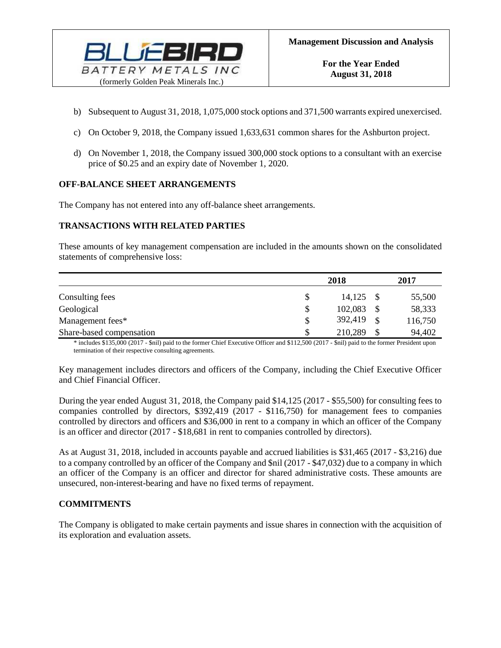

- b) Subsequent to August 31, 2018, 1,075,000 stock options and 371,500 warrants expired unexercised.
- c) On October 9, 2018, the Company issued 1,633,631 common shares for the Ashburton project.
- d) On November 1, 2018, the Company issued 300,000 stock options to a consultant with an exercise price of \$0.25 and an expiry date of November 1, 2020.

### **OFF-BALANCE SHEET ARRANGEMENTS**

The Company has not entered into any off-balance sheet arrangements.

### **TRANSACTIONS WITH RELATED PARTIES**

These amounts of key management compensation are included in the amounts shown on the consolidated statements of comprehensive loss:

|                          |    | 2018    |     | 2017    |
|--------------------------|----|---------|-----|---------|
| Consulting fees          | S  | 14,125  |     | 55,500  |
| Geological               | \$ | 102,083 |     | 58,333  |
| Management fees*         | \$ | 392,419 | -\$ | 116,750 |
| Share-based compensation |    | 210,289 | \$  | 94,402  |

\* includes \$135,000 (2017 - \$nil) paid to the former Chief Executive Officer and \$112,500 (2017 - \$nil) paid to the former President upon termination of their respective consulting agreements.

Key management includes directors and officers of the Company, including the Chief Executive Officer and Chief Financial Officer.

During the year ended August 31, 2018, the Company paid \$14,125 (2017 - \$55,500) for consulting fees to companies controlled by directors, \$392,419 (2017 - \$116,750) for management fees to companies controlled by directors and officers and \$36,000 in rent to a company in which an officer of the Company is an officer and director (2017 - \$18,681 in rent to companies controlled by directors).

As at August 31, 2018, included in accounts payable and accrued liabilities is \$31,465 (2017 - \$3,216) due to a company controlled by an officer of the Company and \$nil (2017 - \$47,032) due to a company in which an officer of the Company is an officer and director for shared administrative costs. These amounts are unsecured, non-interest-bearing and have no fixed terms of repayment.

### **COMMITMENTS**

The Company is obligated to make certain payments and issue shares in connection with the acquisition of its exploration and evaluation assets.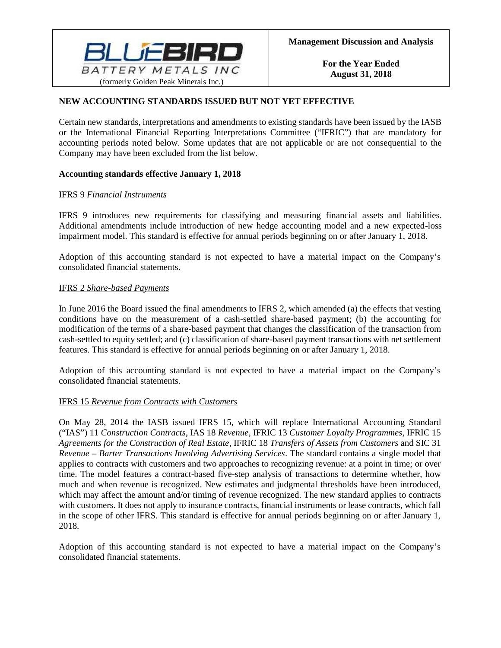

# **NEW ACCOUNTING STANDARDS ISSUED BUT NOT YET EFFECTIVE**

Certain new standards, interpretations and amendments to existing standards have been issued by the IASB or the International Financial Reporting Interpretations Committee ("IFRIC") that are mandatory for accounting periods noted below. Some updates that are not applicable or are not consequential to the Company may have been excluded from the list below.

### **Accounting standards effective January 1, 2018**

### IFRS 9 *Financial Instruments*

IFRS 9 introduces new requirements for classifying and measuring financial assets and liabilities. Additional amendments include introduction of new hedge accounting model and a new expected-loss impairment model. This standard is effective for annual periods beginning on or after January 1, 2018.

Adoption of this accounting standard is not expected to have a material impact on the Company's consolidated financial statements.

### IFRS 2 *Share-based Payments*

In June 2016 the Board issued the final amendments to IFRS 2, which amended (a) the effects that vesting conditions have on the measurement of a cash-settled share-based payment; (b) the accounting for modification of the terms of a share-based payment that changes the classification of the transaction from cash-settled to equity settled; and (c) classification of share-based payment transactions with net settlement features. This standard is effective for annual periods beginning on or after January 1, 2018.

Adoption of this accounting standard is not expected to have a material impact on the Company's consolidated financial statements.

### IFRS 15 *Revenue from Contracts with Customers*

On May 28, 2014 the IASB issued IFRS 15, which will replace International Accounting Standard ("IAS") 11 *Construction Contracts*, IAS 18 *Revenue*, IFRIC 13 *Customer Loyalty Programmes*, IFRIC 15 *Agreements for the Construction of Real Estate*, IFRIC 18 *Transfers of Assets from Customers* and SIC 31 *Revenue – Barter Transactions Involving Advertising Services*. The standard contains a single model that applies to contracts with customers and two approaches to recognizing revenue: at a point in time; or over time. The model features a contract-based five-step analysis of transactions to determine whether, how much and when revenue is recognized. New estimates and judgmental thresholds have been introduced, which may affect the amount and/or timing of revenue recognized. The new standard applies to contracts with customers. It does not apply to insurance contracts, financial instruments or lease contracts, which fall in the scope of other IFRS. This standard is effective for annual periods beginning on or after January 1, 2018.

Adoption of this accounting standard is not expected to have a material impact on the Company's consolidated financial statements.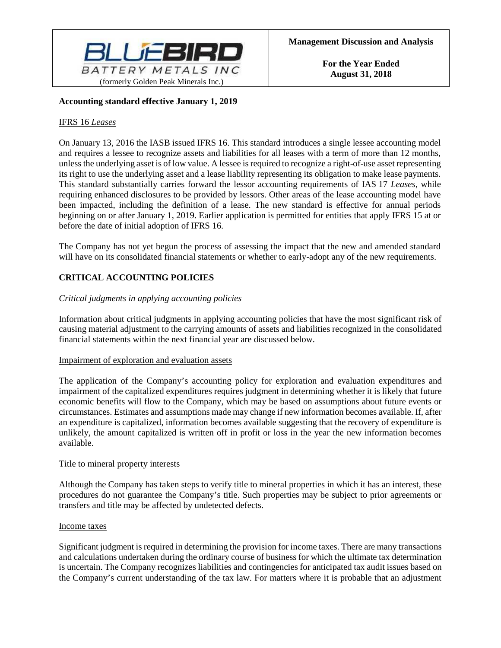

### **Accounting standard effective January 1, 2019**

### IFRS 16 *Leases*

On January 13, 2016 the IASB issued IFRS 16. This standard introduces a single lessee accounting model and requires a lessee to recognize assets and liabilities for all leases with a term of more than 12 months, unless the underlying asset is of low value. A lessee is required to recognize a right-of-use asset representing its right to use the underlying asset and a lease liability representing its obligation to make lease payments. This standard substantially carries forward the lessor accounting requirements of IAS 17 *Leases*, while requiring enhanced disclosures to be provided by lessors. Other areas of the lease accounting model have been impacted, including the definition of a lease. The new standard is effective for annual periods beginning on or after January 1, 2019. Earlier application is permitted for entities that apply IFRS 15 at or before the date of initial adoption of IFRS 16.

The Company has not yet begun the process of assessing the impact that the new and amended standard will have on its consolidated financial statements or whether to early-adopt any of the new requirements.

# **CRITICAL ACCOUNTING POLICIES**

### *Critical judgments in applying accounting policies*

Information about critical judgments in applying accounting policies that have the most significant risk of causing material adjustment to the carrying amounts of assets and liabilities recognized in the consolidated financial statements within the next financial year are discussed below.

### Impairment of exploration and evaluation assets

The application of the Company's accounting policy for exploration and evaluation expenditures and impairment of the capitalized expenditures requires judgment in determining whether it is likely that future economic benefits will flow to the Company, which may be based on assumptions about future events or circumstances. Estimates and assumptions made may change if new information becomes available. If, after an expenditure is capitalized, information becomes available suggesting that the recovery of expenditure is unlikely, the amount capitalized is written off in profit or loss in the year the new information becomes available.

#### Title to mineral property interests

Although the Company has taken steps to verify title to mineral properties in which it has an interest, these procedures do not guarantee the Company's title. Such properties may be subject to prior agreements or transfers and title may be affected by undetected defects.

#### Income taxes

Significant judgment is required in determining the provision for income taxes. There are many transactions and calculations undertaken during the ordinary course of business for which the ultimate tax determination is uncertain. The Company recognizes liabilities and contingencies for anticipated tax audit issues based on the Company's current understanding of the tax law. For matters where it is probable that an adjustment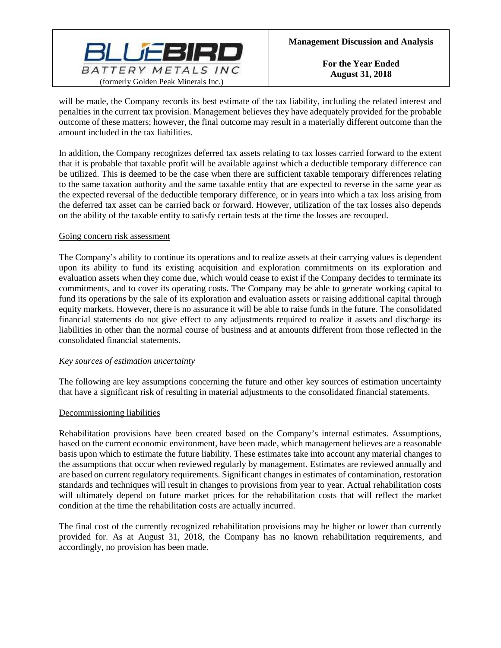

will be made, the Company records its best estimate of the tax liability, including the related interest and penalties in the current tax provision. Management believes they have adequately provided for the probable outcome of these matters; however, the final outcome may result in a materially different outcome than the amount included in the tax liabilities.

In addition, the Company recognizes deferred tax assets relating to tax losses carried forward to the extent that it is probable that taxable profit will be available against which a deductible temporary difference can be utilized. This is deemed to be the case when there are sufficient taxable temporary differences relating to the same taxation authority and the same taxable entity that are expected to reverse in the same year as the expected reversal of the deductible temporary difference, or in years into which a tax loss arising from the deferred tax asset can be carried back or forward. However, utilization of the tax losses also depends on the ability of the taxable entity to satisfy certain tests at the time the losses are recouped.

### Going concern risk assessment

The Company's ability to continue its operations and to realize assets at their carrying values is dependent upon its ability to fund its existing acquisition and exploration commitments on its exploration and evaluation assets when they come due, which would cease to exist if the Company decides to terminate its commitments, and to cover its operating costs. The Company may be able to generate working capital to fund its operations by the sale of its exploration and evaluation assets or raising additional capital through equity markets. However, there is no assurance it will be able to raise funds in the future. The consolidated financial statements do not give effect to any adjustments required to realize it assets and discharge its liabilities in other than the normal course of business and at amounts different from those reflected in the consolidated financial statements.

### *Key sources of estimation uncertainty*

The following are key assumptions concerning the future and other key sources of estimation uncertainty that have a significant risk of resulting in material adjustments to the consolidated financial statements.

#### Decommissioning liabilities

Rehabilitation provisions have been created based on the Company's internal estimates. Assumptions, based on the current economic environment, have been made, which management believes are a reasonable basis upon which to estimate the future liability. These estimates take into account any material changes to the assumptions that occur when reviewed regularly by management. Estimates are reviewed annually and are based on current regulatory requirements. Significant changes in estimates of contamination, restoration standards and techniques will result in changes to provisions from year to year. Actual rehabilitation costs will ultimately depend on future market prices for the rehabilitation costs that will reflect the market condition at the time the rehabilitation costs are actually incurred.

The final cost of the currently recognized rehabilitation provisions may be higher or lower than currently provided for. As at August 31, 2018, the Company has no known rehabilitation requirements, and accordingly, no provision has been made.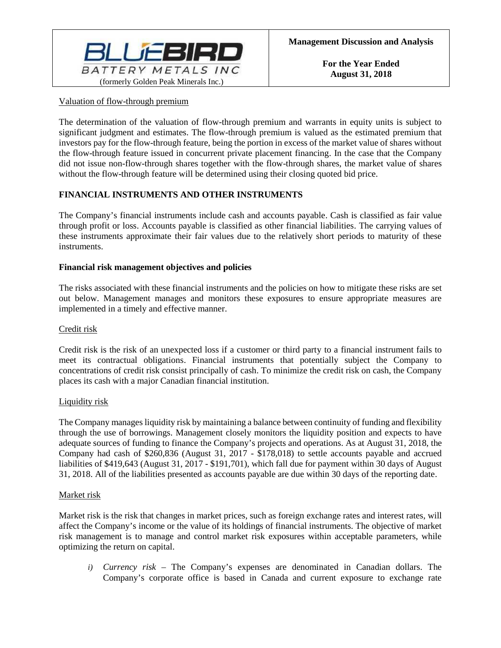

### Valuation of flow-through premium

The determination of the valuation of flow-through premium and warrants in equity units is subject to significant judgment and estimates. The flow-through premium is valued as the estimated premium that investors pay for the flow-through feature, being the portion in excess of the market value of shares without the flow-through feature issued in concurrent private placement financing. In the case that the Company did not issue non-flow-through shares together with the flow-through shares, the market value of shares without the flow-through feature will be determined using their closing quoted bid price.

### **FINANCIAL INSTRUMENTS AND OTHER INSTRUMENTS**

The Company's financial instruments include cash and accounts payable. Cash is classified as fair value through profit or loss. Accounts payable is classified as other financial liabilities. The carrying values of these instruments approximate their fair values due to the relatively short periods to maturity of these instruments.

### **Financial risk management objectives and policies**

The risks associated with these financial instruments and the policies on how to mitigate these risks are set out below. Management manages and monitors these exposures to ensure appropriate measures are implemented in a timely and effective manner.

### Credit risk

Credit risk is the risk of an unexpected loss if a customer or third party to a financial instrument fails to meet its contractual obligations. Financial instruments that potentially subject the Company to concentrations of credit risk consist principally of cash. To minimize the credit risk on cash, the Company places its cash with a major Canadian financial institution.

#### Liquidity risk

The Company manages liquidity risk by maintaining a balance between continuity of funding and flexibility through the use of borrowings. Management closely monitors the liquidity position and expects to have adequate sources of funding to finance the Company's projects and operations. As at August 31, 2018, the Company had cash of \$260,836 (August 31, 2017 - \$178,018) to settle accounts payable and accrued liabilities of \$419,643 (August 31, 2017 - \$191,701), which fall due for payment within 30 days of August 31, 2018. All of the liabilities presented as accounts payable are due within 30 days of the reporting date.

#### Market risk

Market risk is the risk that changes in market prices, such as foreign exchange rates and interest rates, will affect the Company's income or the value of its holdings of financial instruments. The objective of market risk management is to manage and control market risk exposures within acceptable parameters, while optimizing the return on capital.

*i) Currency risk –* The Company's expenses are denominated in Canadian dollars. The Company's corporate office is based in Canada and current exposure to exchange rate